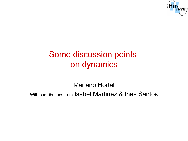

## Some discussion points on dynamics

Mariano Hortal With contributions from Isabel Martinez & Ines Santos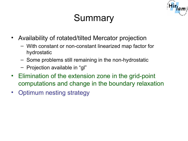# **Summary**

- Availability of rotated/tilted Mercator projection
	- With constant or non-constant linearized map factor for hydrostatic
	- Some problems still remaining in the non-hydrostatic
	- Projection available in "gl"
- Elimination of the extension zone in the grid-point computations and change in the boundary relaxation
- Optimum nesting strategy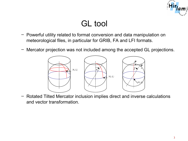

#### GL tool

- Powerful utility related to format conversion and data manipulation on meteorological files, in particular for GRIB, FA and LFI formats.
- Mercator projection was not included among the accepted GL projections.



– Rotated Tilted Mercator inclusion implies direct and inverse calculations and vector transformation.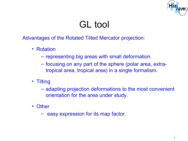

# GL tool

Advantages of the Rotated Tilted Mercator projection:

- Rotation
	- representing big areas with small deformation.
	- focusing on any part of the sphere (polar area, extratropical area, tropical area) in a single formalism.
- Tilting
	- adapting projection deformations to the most convenient orientation for the area under study.
- Other
	- easy expression for its map factor.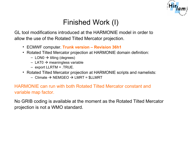

#### Finished Work (I)

GL tool modifications introduced at the HARMONIE model in order to allow the use of the Rotated Tilted Mercator projection.

- ECMWF computer. **Trunk version Revision 36h1**
- Rotated Tilted Mercator projection at HARMONIE domain definition:
	- $-$  LON0  $\rightarrow$  tilting (degrees)
	- $-$  LAT0  $\rightarrow$  meaningless variable
	- export LLRTM = .TRUE.
- Rotated Tilted Mercator projection at HARMONIE scripts and namelists:
	- $-$  Climate  $\rightarrow$  NEMGEO  $\rightarrow$  LMRT = \$LLMRT

HARMONIE can run with both Rotated Tilted Mercator constant and variable map factor.

No GRIB coding is available at the moment as the Rotated Tilted Mercator projection is not a WMO standard.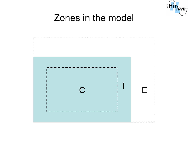

# Zones in the model

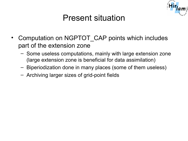

#### Present situation

- Computation on NGPTOT CAP points which includes part of the extension zone
	- Some useless computations, mainly with large extension zone (large extension zone is beneficial for data assimilation)
	- Biperiodization done in many places (some of them useless)
	- Archiving larger sizes of grid-point fields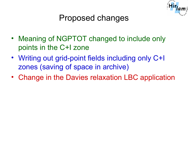

### Proposed changes

- Meaning of NGPTOT changed to include only points in the C+I zone
- Writing out grid-point fields including only C+I zones (saving of space in archive)
- Change in the Davies relaxation LBC application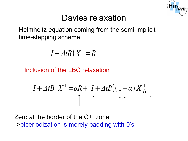

#### Davies relaxation

Helmholtz equation coming from the semi-implicit time-stepping scheme

$$
(I + \varDelta t B) X^+ = R
$$

Inclusion of the LBC relaxation

$$
(I + \Delta t B) X^+ = \alpha R + (I + \Delta t B)(1 - \alpha) X_H^+
$$

Zero at the border of the C+I zone ->biperiodization is merely padding with 0's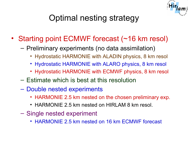

# Optimal nesting strategy

- Starting point ECMWF forecast (~16 km resol)
	- Preliminary experiments (no data assimilation)
		- Hydrostatic HARMONIE with ALADIN physics, 8 km resol
		- Hydrostatic HARMONIE with ALARO physics, 8 km resol
		- Hydrostatic HARMONIE with ECMWF physics, 8 km resol
	- Estimate which is best at this resolution
	- Double nested experiments
		- HARMONIE 2.5 km nested on the chosen preliminary exp.
		- HARMONIE 2.5 km nested on HIRLAM 8 km resol.
	- Single nested experiment
		- HARMONIE 2.5 km nested on 16 km ECMWF forecast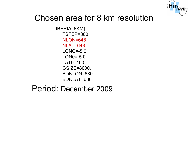

#### Chosen area for 8 km resolution

IBERIA\_8KM) TSTEP=300 NLON=648 NLAT=648 LONC=-5.0 LON0=-5.0 LAT0=40.0 GSIZE=8000. BDNLON=680 BDNLAT=680

#### Period: December 2009